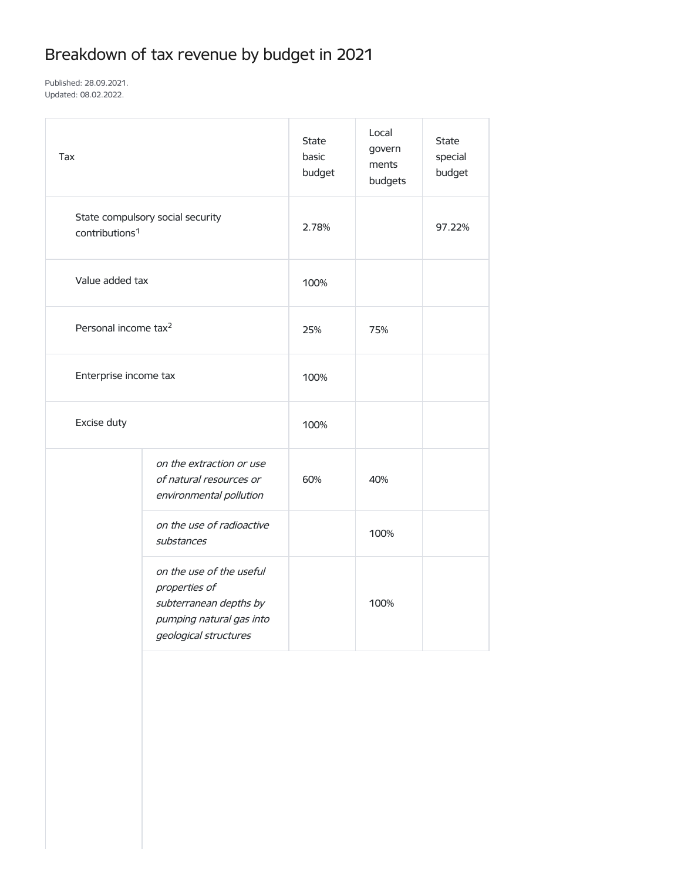## Breakdown of tax revenue by budget in 2021

Published: 28.09.2021. Updated: 08.02.2022.

| Tax                                                            |                                                                                                                          | <b>State</b><br>basic<br>budget | Local<br>govern<br>ments<br>budgets | <b>State</b><br>special<br>budget |
|----------------------------------------------------------------|--------------------------------------------------------------------------------------------------------------------------|---------------------------------|-------------------------------------|-----------------------------------|
| State compulsory social security<br>contributions <sup>1</sup> |                                                                                                                          | 2.78%                           |                                     | 97.22%                            |
| Value added tax                                                |                                                                                                                          | 100%                            |                                     |                                   |
| Personal income tax <sup>2</sup>                               |                                                                                                                          | 25%                             | 75%                                 |                                   |
| Enterprise income tax                                          |                                                                                                                          | 100%                            |                                     |                                   |
| Excise duty                                                    |                                                                                                                          | 100%                            |                                     |                                   |
|                                                                | on the extraction or use<br>of natural resources or<br>environmental pollution                                           | 60%                             | 40%                                 |                                   |
|                                                                | on the use of radioactive<br>substances                                                                                  |                                 | 100%                                |                                   |
|                                                                | on the use of the useful<br>properties of<br>subterranean depths by<br>pumping natural gas into<br>geological structures |                                 | 100%                                |                                   |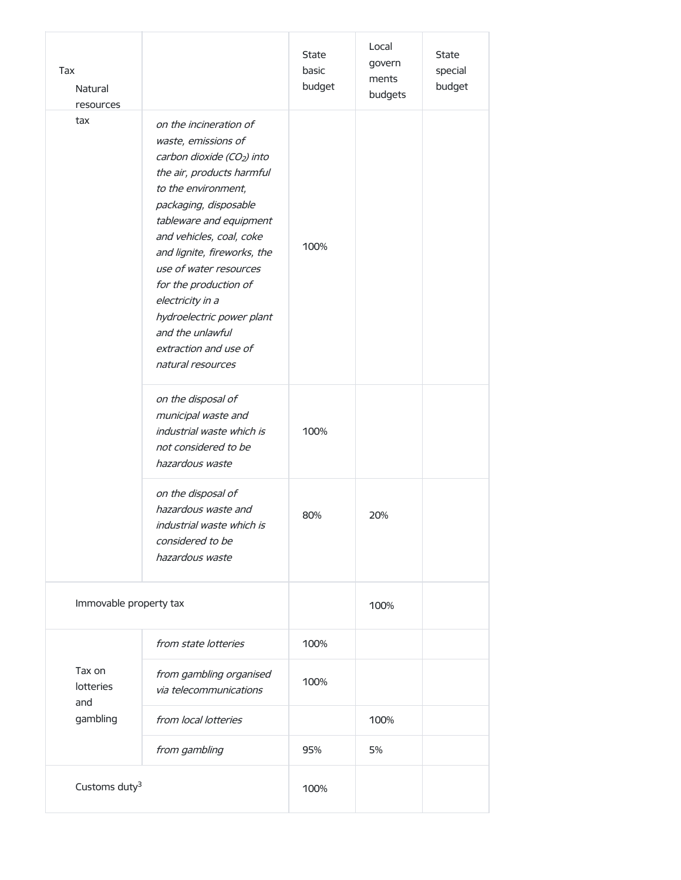| Tax<br>Natural<br>resources                   |                                                                                                                                                                                                                                                                                                                                                                                                                                  | <b>State</b><br>basic<br>budget | Local<br>govern<br>ments<br>budgets | <b>State</b><br>special<br>budget |
|-----------------------------------------------|----------------------------------------------------------------------------------------------------------------------------------------------------------------------------------------------------------------------------------------------------------------------------------------------------------------------------------------------------------------------------------------------------------------------------------|---------------------------------|-------------------------------------|-----------------------------------|
| tax                                           | on the incineration of<br>waste, emissions of<br>carbon dioxide (CO <sub>2</sub> ) into<br>the air, products harmful<br>to the environment,<br>packaging, disposable<br>tableware and equipment<br>and vehicles, coal, coke<br>and lignite, fireworks, the<br>use of water resources<br>for the production of<br>electricity in a<br>hydroelectric power plant<br>and the unlawful<br>extraction and use of<br>natural resources | 100%                            |                                     |                                   |
|                                               | on the disposal of<br>municipal waste and<br>industrial waste which is<br>not considered to be<br>hazardous waste                                                                                                                                                                                                                                                                                                                | 100%                            |                                     |                                   |
|                                               | on the disposal of<br>hazardous waste and<br>industrial waste which is<br>considered to be<br>hazardous waste                                                                                                                                                                                                                                                                                                                    | 80%                             | 20%                                 |                                   |
| Immovable property tax                        |                                                                                                                                                                                                                                                                                                                                                                                                                                  |                                 | 100%                                |                                   |
| Tax on<br><b>lotteries</b><br>and<br>gambling | from state lotteries                                                                                                                                                                                                                                                                                                                                                                                                             | 100%                            |                                     |                                   |
|                                               | from gambling organised<br>via telecommunications                                                                                                                                                                                                                                                                                                                                                                                | 100%                            |                                     |                                   |
|                                               | from local lotteries                                                                                                                                                                                                                                                                                                                                                                                                             |                                 | 100%                                |                                   |
|                                               | from gambling                                                                                                                                                                                                                                                                                                                                                                                                                    | 95%                             | 5%                                  |                                   |
| Customs duty <sup>3</sup>                     |                                                                                                                                                                                                                                                                                                                                                                                                                                  | 100%                            |                                     |                                   |